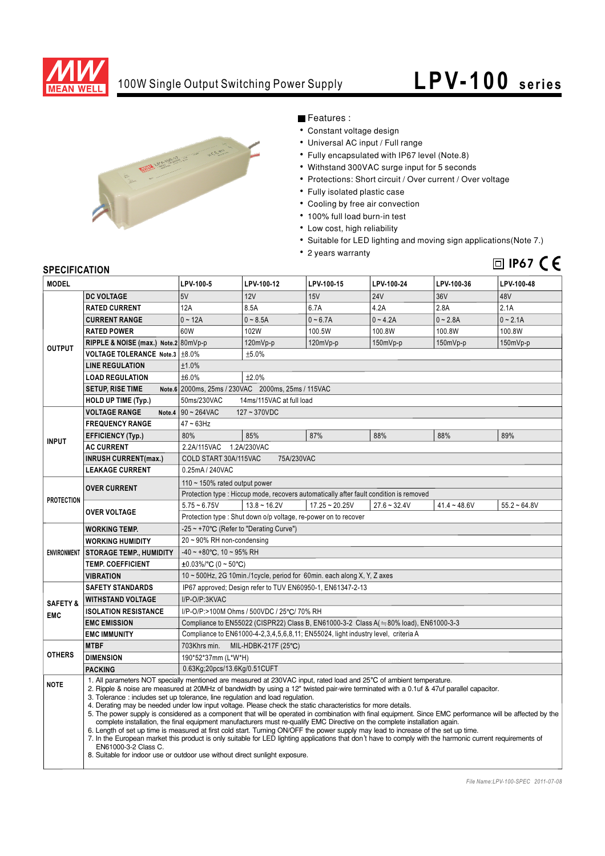

### 100W Single Output Switching Power Supply

# **LPV- 100 series**



Features :

- Constant voltage design
- Universal AC input / Full range
- Fully encapsulated with IP67 level (Note.8)
- Withstand 300VAC surge input for 5 seconds
- Protections: Short circuit / Over current / Over voltage
- Fully isolated plastic case
- Cooling by free air convection
- 100% full load burn-in test
- Low cost, high reliability
- Suitable for LED lighting and moving sign applications(Note 7.)
- 2 years warranty

### **IP67**

### **SPECIFICATION**

| <b>MODEL</b>                      |                                                                                                                                                                                                                                                                                                                                                                                                                                                                                                                                                                                                                                                                                                                                                                                                                                                                                                                                                                                                                                                                                                                                                                       | LPV-100-5                                                                              | LPV-100-12     | LPV-100-15       | LPV-100-24     | LPV-100-36     | LPV-100-48     |
|-----------------------------------|-----------------------------------------------------------------------------------------------------------------------------------------------------------------------------------------------------------------------------------------------------------------------------------------------------------------------------------------------------------------------------------------------------------------------------------------------------------------------------------------------------------------------------------------------------------------------------------------------------------------------------------------------------------------------------------------------------------------------------------------------------------------------------------------------------------------------------------------------------------------------------------------------------------------------------------------------------------------------------------------------------------------------------------------------------------------------------------------------------------------------------------------------------------------------|----------------------------------------------------------------------------------------|----------------|------------------|----------------|----------------|----------------|
| <b>OUTPUT</b>                     | <b>DC VOLTAGE</b>                                                                                                                                                                                                                                                                                                                                                                                                                                                                                                                                                                                                                                                                                                                                                                                                                                                                                                                                                                                                                                                                                                                                                     | 5V                                                                                     | 12V            | <b>15V</b>       | <b>24V</b>     | 36V            | 48V            |
|                                   | <b>RATED CURRENT</b>                                                                                                                                                                                                                                                                                                                                                                                                                                                                                                                                                                                                                                                                                                                                                                                                                                                                                                                                                                                                                                                                                                                                                  | 12A                                                                                    | 8.5A           | 6.7A             | 4.2A           | 2.8A           | 2.1A           |
|                                   | <b>CURRENT RANGE</b>                                                                                                                                                                                                                                                                                                                                                                                                                                                                                                                                                                                                                                                                                                                                                                                                                                                                                                                                                                                                                                                                                                                                                  | $0 - 12A$                                                                              | $0 - 8.5A$     | $0 - 6.7A$       | $0 - 4.2A$     | $0 - 2.8A$     | $0 - 2.1A$     |
|                                   | <b>RATED POWER</b>                                                                                                                                                                                                                                                                                                                                                                                                                                                                                                                                                                                                                                                                                                                                                                                                                                                                                                                                                                                                                                                                                                                                                    | 60W                                                                                    | 102W           | 100.5W           | 100.8W         | 100.8W         | 100.8W         |
|                                   | RIPPLE & NOISE (max.) Note.2 80mVp-p                                                                                                                                                                                                                                                                                                                                                                                                                                                                                                                                                                                                                                                                                                                                                                                                                                                                                                                                                                                                                                                                                                                                  |                                                                                        | 120mVp-p       | $120mVp-p$       | $150mVp-p$     | 150mVp-p       | 150mVp-p       |
|                                   | VOLTAGE TOLERANCE Note.3   ±8.0%                                                                                                                                                                                                                                                                                                                                                                                                                                                                                                                                                                                                                                                                                                                                                                                                                                                                                                                                                                                                                                                                                                                                      |                                                                                        | ±5.0%          |                  |                |                |                |
|                                   | <b>LINE REGULATION</b>                                                                                                                                                                                                                                                                                                                                                                                                                                                                                                                                                                                                                                                                                                                                                                                                                                                                                                                                                                                                                                                                                                                                                | ±1.0%                                                                                  |                |                  |                |                |                |
|                                   | <b>LOAD REGULATION</b>                                                                                                                                                                                                                                                                                                                                                                                                                                                                                                                                                                                                                                                                                                                                                                                                                                                                                                                                                                                                                                                                                                                                                | ±6.0%<br>±2.0%                                                                         |                |                  |                |                |                |
|                                   | <b>SETUP, RISE TIME</b>                                                                                                                                                                                                                                                                                                                                                                                                                                                                                                                                                                                                                                                                                                                                                                                                                                                                                                                                                                                                                                                                                                                                               | Note.6 2000ms, 25ms / 230VAC 2000ms, 25ms / 115VAC                                     |                |                  |                |                |                |
|                                   | <b>HOLD UP TIME (Typ.)</b>                                                                                                                                                                                                                                                                                                                                                                                                                                                                                                                                                                                                                                                                                                                                                                                                                                                                                                                                                                                                                                                                                                                                            | 50ms/230VAC<br>14ms/115VAC at full load                                                |                |                  |                |                |                |
| <b>INPUT</b>                      | <b>VOLTAGE RANGE</b><br>Note.4                                                                                                                                                                                                                                                                                                                                                                                                                                                                                                                                                                                                                                                                                                                                                                                                                                                                                                                                                                                                                                                                                                                                        | $90 - 264$ VAC<br>$127 - 370VDC$                                                       |                |                  |                |                |                |
|                                   | <b>FREQUENCY RANGE</b>                                                                                                                                                                                                                                                                                                                                                                                                                                                                                                                                                                                                                                                                                                                                                                                                                                                                                                                                                                                                                                                                                                                                                | $47 - 63$ Hz                                                                           |                |                  |                |                |                |
|                                   | <b>EFFICIENCY (Typ.)</b>                                                                                                                                                                                                                                                                                                                                                                                                                                                                                                                                                                                                                                                                                                                                                                                                                                                                                                                                                                                                                                                                                                                                              | 80%                                                                                    | 85%            | 87%              | 88%            | 88%            | 89%            |
|                                   | <b>AC CURRENT</b>                                                                                                                                                                                                                                                                                                                                                                                                                                                                                                                                                                                                                                                                                                                                                                                                                                                                                                                                                                                                                                                                                                                                                     | 2.2A/115VAC<br>1.2A/230VAC                                                             |                |                  |                |                |                |
|                                   | <b>INRUSH CURRENT(max.)</b>                                                                                                                                                                                                                                                                                                                                                                                                                                                                                                                                                                                                                                                                                                                                                                                                                                                                                                                                                                                                                                                                                                                                           | COLD START 30A/115VAC<br>75A/230VAC                                                    |                |                  |                |                |                |
|                                   | <b>LEAKAGE CURRENT</b>                                                                                                                                                                                                                                                                                                                                                                                                                                                                                                                                                                                                                                                                                                                                                                                                                                                                                                                                                                                                                                                                                                                                                | 0.25mA / 240VAC                                                                        |                |                  |                |                |                |
| <b>PROTECTION</b>                 | <b>OVER CURRENT</b>                                                                                                                                                                                                                                                                                                                                                                                                                                                                                                                                                                                                                                                                                                                                                                                                                                                                                                                                                                                                                                                                                                                                                   | 110 $\sim$ 150% rated output power                                                     |                |                  |                |                |                |
|                                   |                                                                                                                                                                                                                                                                                                                                                                                                                                                                                                                                                                                                                                                                                                                                                                                                                                                                                                                                                                                                                                                                                                                                                                       | Protection type : Hiccup mode, recovers automatically after fault condition is removed |                |                  |                |                |                |
|                                   | <b>OVER VOLTAGE</b>                                                                                                                                                                                                                                                                                                                                                                                                                                                                                                                                                                                                                                                                                                                                                                                                                                                                                                                                                                                                                                                                                                                                                   | $5.75 - 6.75V$                                                                         | $13.8 - 16.2V$ | $17.25 - 20.25V$ | $27.6 - 32.4V$ | $41.4 - 48.6V$ | $55.2 - 64.8V$ |
|                                   |                                                                                                                                                                                                                                                                                                                                                                                                                                                                                                                                                                                                                                                                                                                                                                                                                                                                                                                                                                                                                                                                                                                                                                       | Protection type : Shut down o/p voltage, re-power on to recover                        |                |                  |                |                |                |
| <b>ENVIRONMENT</b>                | <b>WORKING TEMP.</b>                                                                                                                                                                                                                                                                                                                                                                                                                                                                                                                                                                                                                                                                                                                                                                                                                                                                                                                                                                                                                                                                                                                                                  | -25 ~ +70°C (Refer to "Derating Curve")                                                |                |                  |                |                |                |
|                                   | <b>WORKING HUMIDITY</b>                                                                                                                                                                                                                                                                                                                                                                                                                                                                                                                                                                                                                                                                                                                                                                                                                                                                                                                                                                                                                                                                                                                                               | 20~90% RH non-condensing                                                               |                |                  |                |                |                |
|                                   | <b>STORAGE TEMP., HUMIDITY</b>                                                                                                                                                                                                                                                                                                                                                                                                                                                                                                                                                                                                                                                                                                                                                                                                                                                                                                                                                                                                                                                                                                                                        | $-40 \sim +80^{\circ}$ C, 10 ~ 95% RH                                                  |                |                  |                |                |                |
|                                   | <b>TEMP. COEFFICIENT</b>                                                                                                                                                                                                                                                                                                                                                                                                                                                                                                                                                                                                                                                                                                                                                                                                                                                                                                                                                                                                                                                                                                                                              | $\pm 0.03\%$ /°C (0 ~ 50°C)                                                            |                |                  |                |                |                |
|                                   | <b>VIBRATION</b>                                                                                                                                                                                                                                                                                                                                                                                                                                                                                                                                                                                                                                                                                                                                                                                                                                                                                                                                                                                                                                                                                                                                                      | 10 ~ 500Hz, 2G 10min./1cycle, period for 60min. each along X, Y, Z axes                |                |                  |                |                |                |
| <b>SAFETY &amp;</b><br><b>EMC</b> | <b>SAFETY STANDARDS</b>                                                                                                                                                                                                                                                                                                                                                                                                                                                                                                                                                                                                                                                                                                                                                                                                                                                                                                                                                                                                                                                                                                                                               | IP67 approved; Design refer to TUV EN60950-1, EN61347-2-13                             |                |                  |                |                |                |
|                                   | <b>WITHSTAND VOLTAGE</b>                                                                                                                                                                                                                                                                                                                                                                                                                                                                                                                                                                                                                                                                                                                                                                                                                                                                                                                                                                                                                                                                                                                                              | I/P-O/P:3KVAC                                                                          |                |                  |                |                |                |
|                                   | <b>ISOLATION RESISTANCE</b>                                                                                                                                                                                                                                                                                                                                                                                                                                                                                                                                                                                                                                                                                                                                                                                                                                                                                                                                                                                                                                                                                                                                           | I/P-O/P:>100M Ohms / 500VDC / 25°C/ 70% RH                                             |                |                  |                |                |                |
|                                   | <b>EMC EMISSION</b>                                                                                                                                                                                                                                                                                                                                                                                                                                                                                                                                                                                                                                                                                                                                                                                                                                                                                                                                                                                                                                                                                                                                                   | Compliance to EN55022 (CISPR22) Class B, EN61000-3-2 Class A(=80% load), EN61000-3-3   |                |                  |                |                |                |
|                                   | <b>EMC IMMUNITY</b>                                                                                                                                                                                                                                                                                                                                                                                                                                                                                                                                                                                                                                                                                                                                                                                                                                                                                                                                                                                                                                                                                                                                                   | Compliance to EN61000-4-2,3,4,5,6,8,11; EN55024, light industry level, criteria A      |                |                  |                |                |                |
| <b>OTHERS</b>                     | <b>MTBF</b>                                                                                                                                                                                                                                                                                                                                                                                                                                                                                                                                                                                                                                                                                                                                                                                                                                                                                                                                                                                                                                                                                                                                                           | MIL-HDBK-217F (25°C)<br>703Khrs min.                                                   |                |                  |                |                |                |
|                                   | <b>DIMENSION</b>                                                                                                                                                                                                                                                                                                                                                                                                                                                                                                                                                                                                                                                                                                                                                                                                                                                                                                                                                                                                                                                                                                                                                      | 190*52*37mm (L*W*H)                                                                    |                |                  |                |                |                |
|                                   | <b>PACKING</b>                                                                                                                                                                                                                                                                                                                                                                                                                                                                                                                                                                                                                                                                                                                                                                                                                                                                                                                                                                                                                                                                                                                                                        | 0.63Kg;20pcs/13.6Kg/0.51CUFT                                                           |                |                  |                |                |                |
| <b>NOTE</b>                       | 1. All parameters NOT specially mentioned are measured at 230VAC input, rated load and 25°C of ambient temperature.<br>2. Ripple & noise are measured at 20MHz of bandwidth by using a 12" twisted pair-wire terminated with a 0.1uf & 47uf parallel capacitor.<br>3. Tolerance: includes set up tolerance, line regulation and load regulation.<br>4. Derating may be needed under low input voltage. Please check the static characteristics for more details.<br>5. The power supply is considered as a component that will be operated in combination with final equipment. Since EMC performance will be affected by the<br>complete installation, the final equipment manufacturers must re-qualify EMC Directive on the complete installation again.<br>6. Length of set up time is measured at first cold start. Turning ON/OFF the power supply may lead to increase of the set up time.<br>7. In the European market this product is only suitable for LED lighting applications that don't have to comply with the harmonic current requirements of<br>EN61000-3-2 Class C.<br>8. Suitable for indoor use or outdoor use without direct sunlight exposure. |                                                                                        |                |                  |                |                |                |